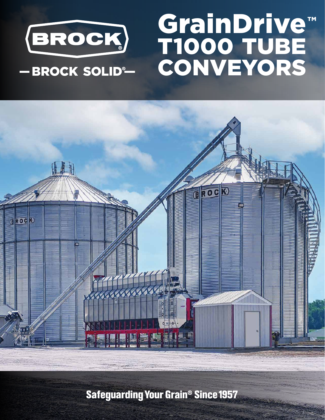

-BROCK SOLID®

## GrainDrive T1000 TUBE CONVEYORS ™



**Safeguarding Your Grain<sup>®</sup> Since 1957**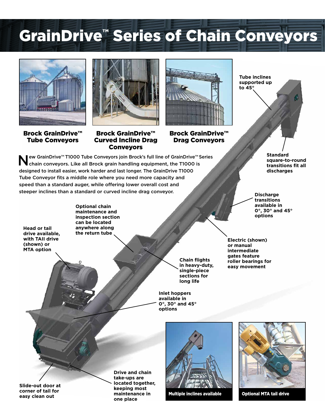## GrainDrive™ Series of Chain Conveyors



Brock GrainDrive™ Tube Conveyors



Brock GrainDrive™ Curved Incline Drag Conveyors



Brock GrainDrive™ Drag Conveyors

ew GrainDrive™ T1000 Tube Conveyors join Brock's full line of GrainDrive™ Series chain conveyors. Like all Brock grain handling equipment, the T1000 is designed to install easier, work harder and last longer. The GrainDrive T1000 Tube Conveyor fits a middle role where you need more capacity and speed than a standard auger, while offering lower overall cost and steeper inclines than a standard or curved incline drag conveyor.

**Tube inclines supported up to 45°**

> **Standard square-to-round transitions fit all discharges**

**Discharge transitions available in 0°, 30° and 45° options**

**Head or tail drive available, with TAII drive (shown) or** 

**Optional chain maintenance and inspection section can be located anywhere along the return tube**

**Chain flights in heavy-duty, single-piece sections for long life**

**Inlet hoppers available in 0°, 30° and 45° options**

**Electric (shown) or manual intermediate gates feature roller bearings for easy movement**

**Slide-out door at corner of tail for easy clean out**

**MTA option**

**Drive and chain take-ups are located together, keeping most maintenance in one place**



Multiple inclines available **Optional MTA tail drive** 

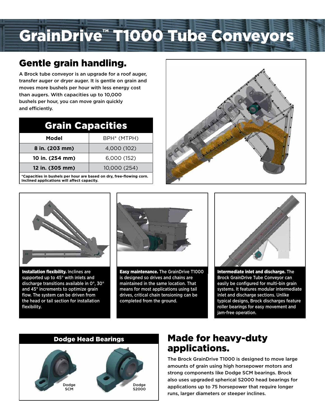# GrainDrive™ T1000 Tube Conveyors

### Gentle grain handling.

A Brock tube conveyor is an upgrade for a roof auger, transfer auger or dryer auger. It is gentle on grain and moves more bushels per hour with less energy cost than augers. With capacities up to 10,000 bushels per hour, you can move grain quickly and efficiently.

| <b>Grain Capacities</b> |                         |
|-------------------------|-------------------------|
| Model                   | BPH <sup>*</sup> (MTPH) |
| 8 in. (203 mm)          | 4,000 (102)             |
| 10 in. (254 mm)         | 6,000 (152)             |
| 12 in. (305 mm)         | 10,000 (254)            |

**\*Capacities in bushels per hour are based on dry, free-flowing corn. Inclined applications will affect capacity.**





Installation flexibility. Inclines are supported up to 45° with inlets and discharge transitions available in 0°, 30° and 45° increments to optimize grain flow. The system can be driven from the head or tail section for installation flexibility.



Easy maintenance. The GrainDrive T1000 is designed so drives and chains are maintained in the same location. That means for most applications using tail drives, critical chain tensioning can be completed from the ground.



Intermediate inlet and discharge. The Brock GrainDrive Tube Conveyor can easily be configured for multi-bin grain systems. It features modular intermediate inlet and discharge sections. Unlike typical designs, Brock discharges feature roller bearings for easy movement and jam-free operation.



### Made for heavy-duty applications.

The Brock GrainDrive T1000 is designed to move large amounts of grain using high horsepower motors and strong components like Dodge SCM bearings. Brock also uses upgraded spherical S2000 head bearings for applications up to 75 horsepower that require longer runs, larger diameters or steeper inclines.